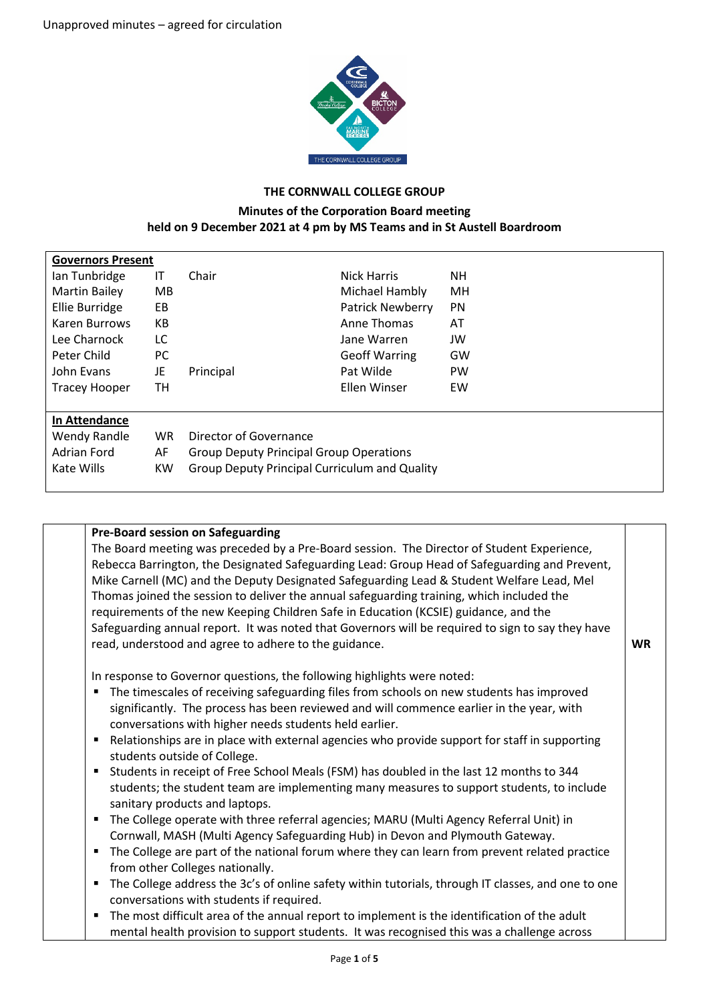

## **THE CORNWALL COLLEGE GROUP**

## **Minutes of the Corporation Board meeting held on 9 December 2021 at 4 pm by MS Teams and in St Austell Boardroom**

| <b>Governors Present</b> |           |                                                      |                         |           |
|--------------------------|-----------|------------------------------------------------------|-------------------------|-----------|
| lan Tunbridge            | IT        | Chair                                                | <b>Nick Harris</b>      | NΗ        |
| <b>Martin Bailey</b>     | MB        |                                                      | Michael Hambly          | MH        |
| <b>Ellie Burridge</b>    | EB        |                                                      | <b>Patrick Newberry</b> | <b>PN</b> |
| Karen Burrows            | КB        |                                                      | Anne Thomas             | AT        |
| Lee Charnock             | LC        |                                                      | Jane Warren             | JW        |
| Peter Child              | РC        |                                                      | <b>Geoff Warring</b>    | GW        |
| John Evans               | JE        | Principal                                            | Pat Wilde               | <b>PW</b> |
| <b>Tracey Hooper</b>     | TН        |                                                      | Ellen Winser            | EW        |
|                          |           |                                                      |                         |           |
| In Attendance            |           |                                                      |                         |           |
| Wendy Randle             | <b>WR</b> | Director of Governance                               |                         |           |
| Adrian Ford              | AF        | <b>Group Deputy Principal Group Operations</b>       |                         |           |
| Kate Wills               | <b>KW</b> | <b>Group Deputy Principal Curriculum and Quality</b> |                         |           |
|                          |           |                                                      |                         |           |

| <b>Pre-Board session on Safeguarding</b>                                                           |           |
|----------------------------------------------------------------------------------------------------|-----------|
| The Board meeting was preceded by a Pre-Board session. The Director of Student Experience,         |           |
| Rebecca Barrington, the Designated Safeguarding Lead: Group Head of Safeguarding and Prevent,      |           |
| Mike Carnell (MC) and the Deputy Designated Safeguarding Lead & Student Welfare Lead, Mel          |           |
| Thomas joined the session to deliver the annual safeguarding training, which included the          |           |
| requirements of the new Keeping Children Safe in Education (KCSIE) guidance, and the               |           |
| Safeguarding annual report. It was noted that Governors will be required to sign to say they have  |           |
| read, understood and agree to adhere to the guidance.                                              | <b>WR</b> |
| In response to Governor questions, the following highlights were noted:                            |           |
| The timescales of receiving safeguarding files from schools on new students has improved<br>п      |           |
| significantly. The process has been reviewed and will commence earlier in the year, with           |           |
| conversations with higher needs students held earlier.                                             |           |
| Relationships are in place with external agencies who provide support for staff in supporting<br>٠ |           |
| students outside of College.                                                                       |           |
| Students in receipt of Free School Meals (FSM) has doubled in the last 12 months to 344            |           |
| students; the student team are implementing many measures to support students, to include          |           |
| sanitary products and laptops.                                                                     |           |
| The College operate with three referral agencies; MARU (Multi Agency Referral Unit) in<br>٠        |           |
| Cornwall, MASH (Multi Agency Safeguarding Hub) in Devon and Plymouth Gateway.                      |           |
| The College are part of the national forum where they can learn from prevent related practice      |           |
| from other Colleges nationally.                                                                    |           |
| The College address the 3c's of online safety within tutorials, through IT classes, and one to one |           |
| conversations with students if required.                                                           |           |
| • The most difficult area of the annual report to implement is the identification of the adult     |           |
| mental health provision to support students. It was recognised this was a challenge across         |           |
|                                                                                                    |           |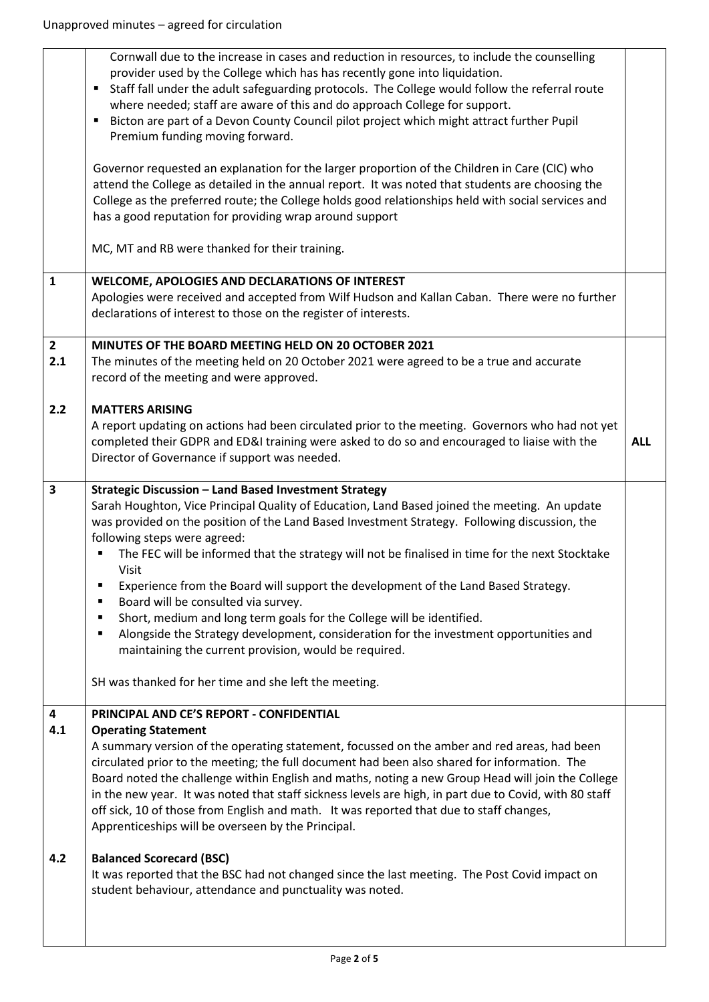|                         | Cornwall due to the increase in cases and reduction in resources, to include the counselling<br>provider used by the College which has has recently gone into liquidation.<br>Staff fall under the adult safeguarding protocols. The College would follow the referral route<br>$\blacksquare$<br>where needed; staff are aware of this and do approach College for support.<br>Bicton are part of a Devon County Council pilot project which might attract further Pupil<br>٠<br>Premium funding moving forward.<br>Governor requested an explanation for the larger proportion of the Children in Care (CIC) who<br>attend the College as detailed in the annual report. It was noted that students are choosing the<br>College as the preferred route; the College holds good relationships held with social services and<br>has a good reputation for providing wrap around support |            |
|-------------------------|-----------------------------------------------------------------------------------------------------------------------------------------------------------------------------------------------------------------------------------------------------------------------------------------------------------------------------------------------------------------------------------------------------------------------------------------------------------------------------------------------------------------------------------------------------------------------------------------------------------------------------------------------------------------------------------------------------------------------------------------------------------------------------------------------------------------------------------------------------------------------------------------|------------|
|                         | MC, MT and RB were thanked for their training.                                                                                                                                                                                                                                                                                                                                                                                                                                                                                                                                                                                                                                                                                                                                                                                                                                          |            |
| $\mathbf{1}$            | WELCOME, APOLOGIES AND DECLARATIONS OF INTEREST<br>Apologies were received and accepted from Wilf Hudson and Kallan Caban. There were no further<br>declarations of interest to those on the register of interests.                                                                                                                                                                                                                                                                                                                                                                                                                                                                                                                                                                                                                                                                     |            |
| $\mathbf{2}$<br>2.1     | MINUTES OF THE BOARD MEETING HELD ON 20 OCTOBER 2021<br>The minutes of the meeting held on 20 October 2021 were agreed to be a true and accurate<br>record of the meeting and were approved.                                                                                                                                                                                                                                                                                                                                                                                                                                                                                                                                                                                                                                                                                            |            |
| 2.2                     | <b>MATTERS ARISING</b><br>A report updating on actions had been circulated prior to the meeting. Governors who had not yet<br>completed their GDPR and ED&I training were asked to do so and encouraged to liaise with the<br>Director of Governance if support was needed.                                                                                                                                                                                                                                                                                                                                                                                                                                                                                                                                                                                                             | <b>ALL</b> |
| $\overline{\mathbf{3}}$ | Strategic Discussion - Land Based Investment Strategy<br>Sarah Houghton, Vice Principal Quality of Education, Land Based joined the meeting. An update<br>was provided on the position of the Land Based Investment Strategy. Following discussion, the<br>following steps were agreed:<br>The FEC will be informed that the strategy will not be finalised in time for the next Stocktake<br>Visit<br>Experience from the Board will support the development of the Land Based Strategy.<br>Board will be consulted via survey.<br>П<br>Short, medium and long term goals for the College will be identified.<br>٠<br>Alongside the Strategy development, consideration for the investment opportunities and<br>٠<br>maintaining the current provision, would be required.<br>SH was thanked for her time and she left the meeting.                                                    |            |
| 4<br>4.1                | PRINCIPAL AND CE'S REPORT - CONFIDENTIAL<br><b>Operating Statement</b><br>A summary version of the operating statement, focussed on the amber and red areas, had been<br>circulated prior to the meeting; the full document had been also shared for information. The<br>Board noted the challenge within English and maths, noting a new Group Head will join the College<br>in the new year. It was noted that staff sickness levels are high, in part due to Covid, with 80 staff<br>off sick, 10 of those from English and math. It was reported that due to staff changes,<br>Apprenticeships will be overseen by the Principal.                                                                                                                                                                                                                                                   |            |
| 4.2                     | <b>Balanced Scorecard (BSC)</b><br>It was reported that the BSC had not changed since the last meeting. The Post Covid impact on<br>student behaviour, attendance and punctuality was noted.                                                                                                                                                                                                                                                                                                                                                                                                                                                                                                                                                                                                                                                                                            |            |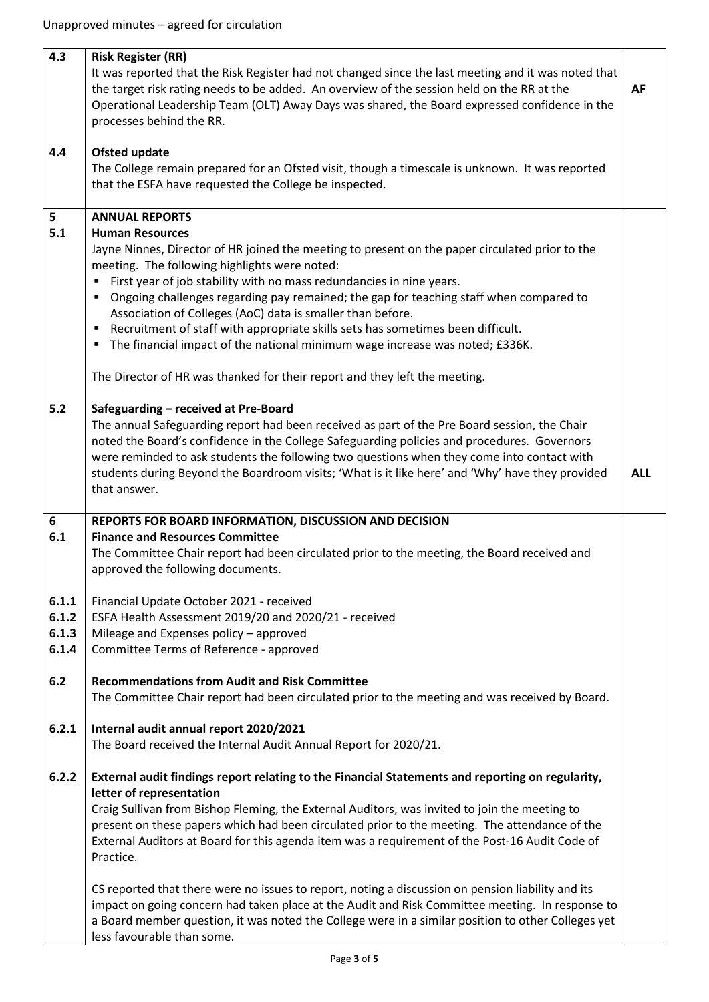| 4.3                              | <b>Risk Register (RR)</b><br>It was reported that the Risk Register had not changed since the last meeting and it was noted that<br>the target risk rating needs to be added. An overview of the session held on the RR at the<br>Operational Leadership Team (OLT) Away Days was shared, the Board expressed confidence in the<br>processes behind the RR.                                                                                                                                                                                                                                                                                                                                         | <b>AF</b>  |
|----------------------------------|-----------------------------------------------------------------------------------------------------------------------------------------------------------------------------------------------------------------------------------------------------------------------------------------------------------------------------------------------------------------------------------------------------------------------------------------------------------------------------------------------------------------------------------------------------------------------------------------------------------------------------------------------------------------------------------------------------|------------|
| 4.4                              | <b>Ofsted update</b><br>The College remain prepared for an Ofsted visit, though a timescale is unknown. It was reported<br>that the ESFA have requested the College be inspected.                                                                                                                                                                                                                                                                                                                                                                                                                                                                                                                   |            |
| 5<br>5.1                         | <b>ANNUAL REPORTS</b><br><b>Human Resources</b><br>Jayne Ninnes, Director of HR joined the meeting to present on the paper circulated prior to the<br>meeting. The following highlights were noted:<br>First year of job stability with no mass redundancies in nine years.<br>Ongoing challenges regarding pay remained; the gap for teaching staff when compared to<br>٠<br>Association of Colleges (AoC) data is smaller than before.<br>Recruitment of staff with appropriate skills sets has sometimes been difficult.<br>٠<br>The financial impact of the national minimum wage increase was noted; £336K.<br>٠<br>The Director of HR was thanked for their report and they left the meeting. |            |
| $5.2$                            | Safeguarding - received at Pre-Board<br>The annual Safeguarding report had been received as part of the Pre Board session, the Chair<br>noted the Board's confidence in the College Safeguarding policies and procedures. Governors<br>were reminded to ask students the following two questions when they come into contact with<br>students during Beyond the Boardroom visits; 'What is it like here' and 'Why' have they provided<br>that answer.                                                                                                                                                                                                                                               | <b>ALL</b> |
| 6<br>6.1                         | REPORTS FOR BOARD INFORMATION, DISCUSSION AND DECISION<br><b>Finance and Resources Committee</b><br>The Committee Chair report had been circulated prior to the meeting, the Board received and<br>approved the following documents.                                                                                                                                                                                                                                                                                                                                                                                                                                                                |            |
| 6.1.1<br>6.1.2<br>6.1.3<br>6.1.4 | Financial Update October 2021 - received<br>ESFA Health Assessment 2019/20 and 2020/21 - received<br>Mileage and Expenses policy - approved<br>Committee Terms of Reference - approved                                                                                                                                                                                                                                                                                                                                                                                                                                                                                                              |            |
| $6.2$                            | <b>Recommendations from Audit and Risk Committee</b><br>The Committee Chair report had been circulated prior to the meeting and was received by Board.                                                                                                                                                                                                                                                                                                                                                                                                                                                                                                                                              |            |
| 6.2.1                            | Internal audit annual report 2020/2021<br>The Board received the Internal Audit Annual Report for 2020/21.                                                                                                                                                                                                                                                                                                                                                                                                                                                                                                                                                                                          |            |
| 6.2.2                            | External audit findings report relating to the Financial Statements and reporting on regularity,<br>letter of representation<br>Craig Sullivan from Bishop Fleming, the External Auditors, was invited to join the meeting to<br>present on these papers which had been circulated prior to the meeting. The attendance of the<br>External Auditors at Board for this agenda item was a requirement of the Post-16 Audit Code of<br>Practice.<br>CS reported that there were no issues to report, noting a discussion on pension liability and its                                                                                                                                                  |            |
|                                  | impact on going concern had taken place at the Audit and Risk Committee meeting. In response to<br>a Board member question, it was noted the College were in a similar position to other Colleges yet<br>less favourable than some.                                                                                                                                                                                                                                                                                                                                                                                                                                                                 |            |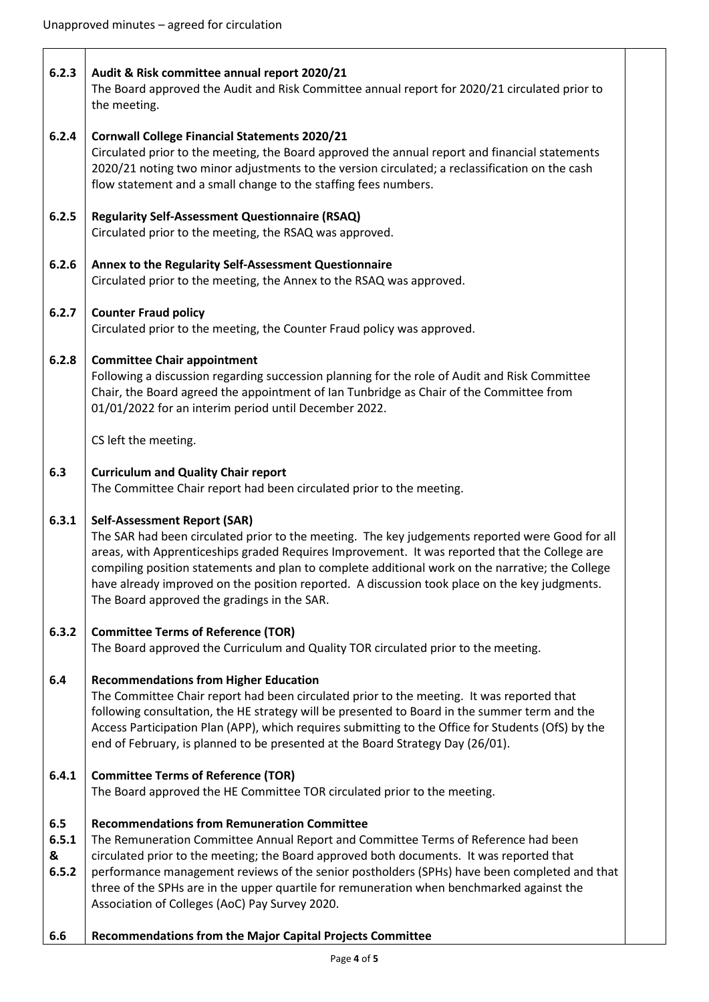| 6.2.3                      | Audit & Risk committee annual report 2020/21<br>The Board approved the Audit and Risk Committee annual report for 2020/21 circulated prior to<br>the meeting.                                                                                                                                                                                                                                                                                                                               |
|----------------------------|---------------------------------------------------------------------------------------------------------------------------------------------------------------------------------------------------------------------------------------------------------------------------------------------------------------------------------------------------------------------------------------------------------------------------------------------------------------------------------------------|
| 6.2.4                      | <b>Cornwall College Financial Statements 2020/21</b><br>Circulated prior to the meeting, the Board approved the annual report and financial statements<br>2020/21 noting two minor adjustments to the version circulated; a reclassification on the cash<br>flow statement and a small change to the staffing fees numbers.                                                                                                                                                                 |
| 6.2.5                      | <b>Regularity Self-Assessment Questionnaire (RSAQ)</b><br>Circulated prior to the meeting, the RSAQ was approved.                                                                                                                                                                                                                                                                                                                                                                           |
| 6.2.6                      | Annex to the Regularity Self-Assessment Questionnaire<br>Circulated prior to the meeting, the Annex to the RSAQ was approved.                                                                                                                                                                                                                                                                                                                                                               |
| 6.2.7                      | <b>Counter Fraud policy</b><br>Circulated prior to the meeting, the Counter Fraud policy was approved.                                                                                                                                                                                                                                                                                                                                                                                      |
| 6.2.8                      | <b>Committee Chair appointment</b><br>Following a discussion regarding succession planning for the role of Audit and Risk Committee<br>Chair, the Board agreed the appointment of Ian Tunbridge as Chair of the Committee from<br>01/01/2022 for an interim period until December 2022.                                                                                                                                                                                                     |
|                            | CS left the meeting.                                                                                                                                                                                                                                                                                                                                                                                                                                                                        |
| 6.3                        | <b>Curriculum and Quality Chair report</b><br>The Committee Chair report had been circulated prior to the meeting.                                                                                                                                                                                                                                                                                                                                                                          |
| 6.3.1                      | <b>Self-Assessment Report (SAR)</b><br>The SAR had been circulated prior to the meeting. The key judgements reported were Good for all<br>areas, with Apprenticeships graded Requires Improvement. It was reported that the College are<br>compiling position statements and plan to complete additional work on the narrative; the College<br>have already improved on the position reported. A discussion took place on the key judgments.<br>The Board approved the gradings in the SAR. |
| 6.3.2                      | <b>Committee Terms of Reference (TOR)</b><br>The Board approved the Curriculum and Quality TOR circulated prior to the meeting.                                                                                                                                                                                                                                                                                                                                                             |
| 6.4                        | <b>Recommendations from Higher Education</b><br>The Committee Chair report had been circulated prior to the meeting. It was reported that<br>following consultation, the HE strategy will be presented to Board in the summer term and the<br>Access Participation Plan (APP), which requires submitting to the Office for Students (OfS) by the<br>end of February, is planned to be presented at the Board Strategy Day (26/01).                                                          |
| 6.4.1                      | <b>Committee Terms of Reference (TOR)</b><br>The Board approved the HE Committee TOR circulated prior to the meeting.                                                                                                                                                                                                                                                                                                                                                                       |
| 6.5<br>6.5.1<br>&<br>6.5.2 | <b>Recommendations from Remuneration Committee</b><br>The Remuneration Committee Annual Report and Committee Terms of Reference had been<br>circulated prior to the meeting; the Board approved both documents. It was reported that<br>performance management reviews of the senior postholders (SPHs) have been completed and that<br>three of the SPHs are in the upper quartile for remuneration when benchmarked against the<br>Association of Colleges (AoC) Pay Survey 2020.         |
| 6.6                        | Recommendations from the Major Capital Projects Committee                                                                                                                                                                                                                                                                                                                                                                                                                                   |